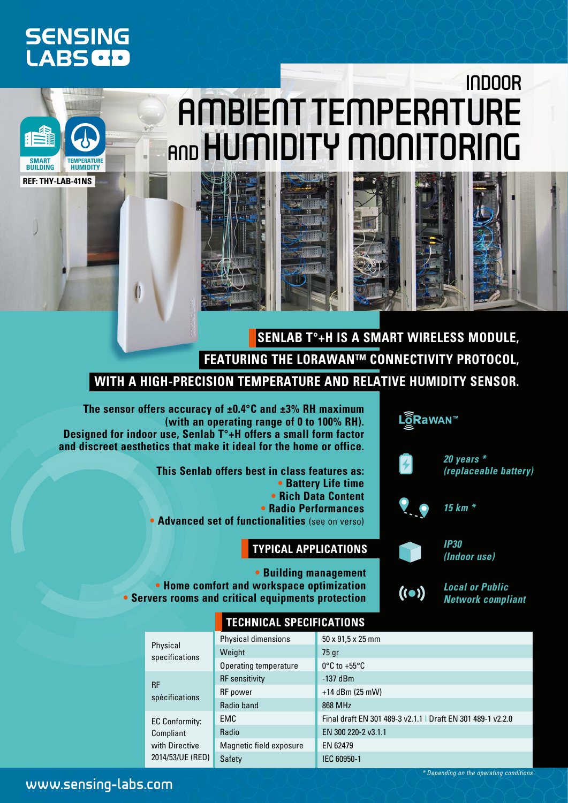## **SENSING LABSCD**

**Ref: THY-LAB-41NS**

**Temperature Humidity**

**Smart Building**

# indoor ambient temperature AND HUMIDITY MONITORING

**Senlab T°+H is a smart wireless module, featuring the LoRaWAN™ connectivity protocol, with a high-precision temperature and relative humidity sensor.**

**The sensor offers accuracy of ±0.4°C and ±3% RH maximum (with an operating range of 0 to 100% RH). Designed for indoor use, Senlab T°+H offers a small form factor and discreet aesthetics that make it ideal for the home or office.**

> **This Senlab offers best in class features as: • Battery Life time • Rich Data Content • Radio Performances • Advanced set of functionalities** (see on verso)

#### **Typical applications**



**• Building management • Home comfort and workspace optimization • Servers rooms and critical equipments protection**

*Local or Public Network compliant*

 $( ( \bullet ) )$ 

|                                                                   | <b>TECHNICAL SPECIFICATIONS</b> |                                                             |  |  |  |  |  |
|-------------------------------------------------------------------|---------------------------------|-------------------------------------------------------------|--|--|--|--|--|
| Physical<br>specifications                                        | Physical dimensions             | $50 \times 91.5 \times 25$ mm                               |  |  |  |  |  |
|                                                                   | Weight                          | 75 gr                                                       |  |  |  |  |  |
|                                                                   | Operating temperature           | $0^{\circ}$ C to +55 $^{\circ}$ C                           |  |  |  |  |  |
| <b>RF</b><br>spécifications                                       | <b>RF</b> sensitivity           | $-137$ dBm                                                  |  |  |  |  |  |
|                                                                   | <b>RF</b> power                 | $+14$ dBm (25 mW)                                           |  |  |  |  |  |
|                                                                   | Radio band                      | 868 MHz                                                     |  |  |  |  |  |
| EC Conformity:<br>Compliant<br>with Directive<br>2014/53/UE (RED) | <b>EMC</b>                      | Final draft EN 301 489-3 v2.1.1   Draft EN 301 489-1 v2.2.0 |  |  |  |  |  |
|                                                                   | Radio                           | EN 300 220-2 v3.1.1                                         |  |  |  |  |  |
|                                                                   | Magnetic field exposure         | EN 62479                                                    |  |  |  |  |  |
|                                                                   | Safety                          | IEC 60950-1                                                 |  |  |  |  |  |

www.sensing-labs.com

*\* Depending on the operating conditions*